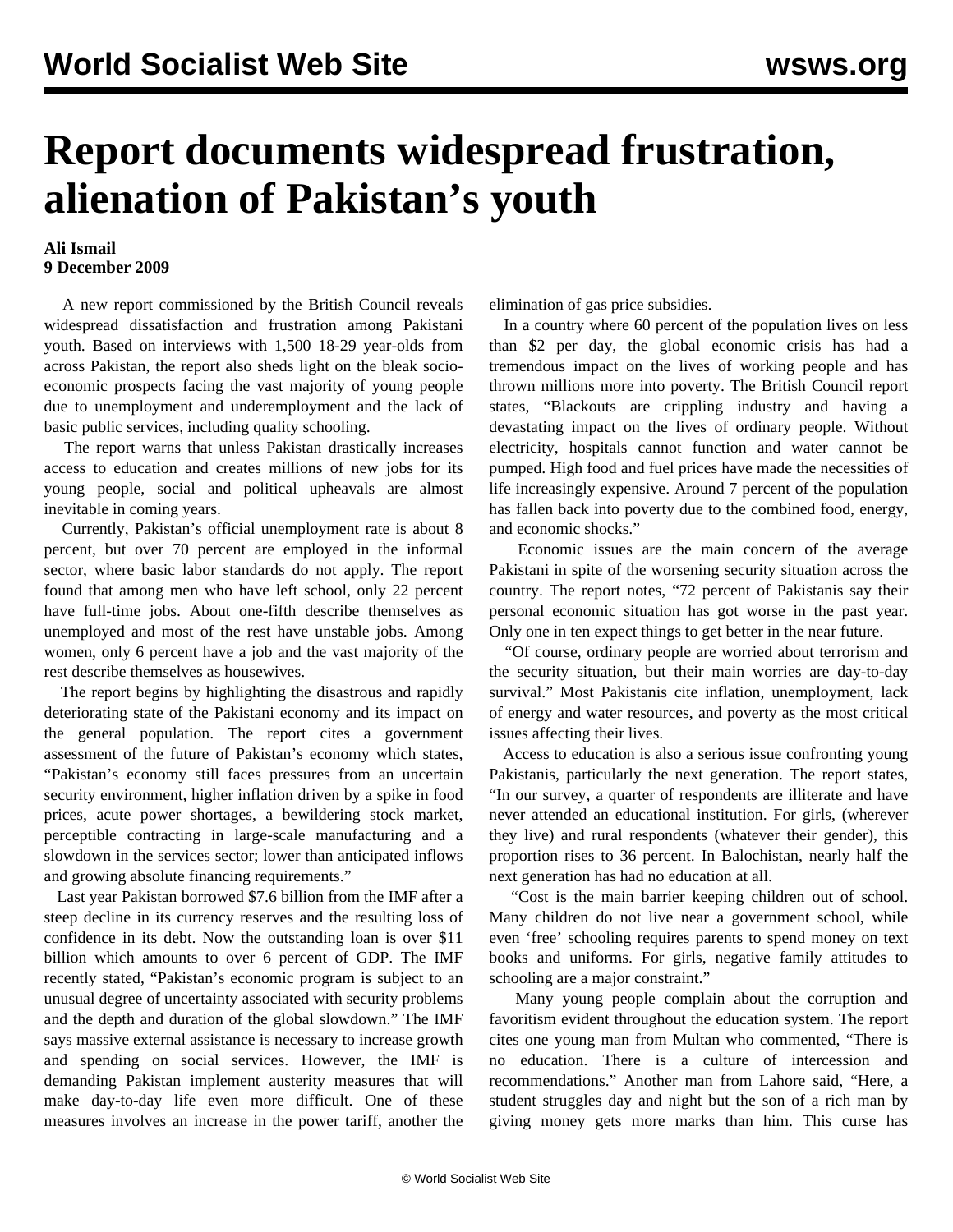## **Report documents widespread frustration, alienation of Pakistan's youth**

## **Ali Ismail 9 December 2009**

 A new report commissioned by the British Council reveals widespread dissatisfaction and frustration among Pakistani youth. Based on interviews with 1,500 18-29 year-olds from across Pakistan, the report also sheds light on the bleak socioeconomic prospects facing the vast majority of young people due to unemployment and underemployment and the lack of basic public services, including quality schooling.

 The report warns that unless Pakistan drastically increases access to education and creates millions of new jobs for its young people, social and political upheavals are almost inevitable in coming years.

 Currently, Pakistan's official unemployment rate is about 8 percent, but over 70 percent are employed in the informal sector, where basic labor standards do not apply. The report found that among men who have left school, only 22 percent have full-time jobs. About one-fifth describe themselves as unemployed and most of the rest have unstable jobs. Among women, only 6 percent have a job and the vast majority of the rest describe themselves as housewives.

 The report begins by highlighting the disastrous and rapidly deteriorating state of the Pakistani economy and its impact on the general population. The report cites a government assessment of the future of Pakistan's economy which states, "Pakistan's economy still faces pressures from an uncertain security environment, higher inflation driven by a spike in food prices, acute power shortages, a bewildering stock market, perceptible contracting in large-scale manufacturing and a slowdown in the services sector; lower than anticipated inflows and growing absolute financing requirements."

 Last year Pakistan borrowed \$7.6 billion from the IMF after a steep decline in its currency reserves and the resulting loss of confidence in its debt. Now the outstanding loan is over \$11 billion which amounts to over 6 percent of GDP. The IMF recently stated, "Pakistan's economic program is subject to an unusual degree of uncertainty associated with security problems and the depth and duration of the global slowdown." The IMF says massive external assistance is necessary to increase growth and spending on social services. However, the IMF is demanding Pakistan implement austerity measures that will make day-to-day life even more difficult. One of these measures involves an increase in the power tariff, another the elimination of gas price subsidies.

 In a country where 60 percent of the population lives on less than \$2 per day, the global economic crisis has had a tremendous impact on the lives of working people and has thrown millions more into poverty. The British Council report states, "Blackouts are crippling industry and having a devastating impact on the lives of ordinary people. Without electricity, hospitals cannot function and water cannot be pumped. High food and fuel prices have made the necessities of life increasingly expensive. Around 7 percent of the population has fallen back into poverty due to the combined food, energy, and economic shocks."

 Economic issues are the main concern of the average Pakistani in spite of the worsening security situation across the country. The report notes, "72 percent of Pakistanis say their personal economic situation has got worse in the past year. Only one in ten expect things to get better in the near future.

 "Of course, ordinary people are worried about terrorism and the security situation, but their main worries are day-to-day survival." Most Pakistanis cite inflation, unemployment, lack of energy and water resources, and poverty as the most critical issues affecting their lives.

 Access to education is also a serious issue confronting young Pakistanis, particularly the next generation. The report states, "In our survey, a quarter of respondents are illiterate and have never attended an educational institution. For girls, (wherever they live) and rural respondents (whatever their gender), this proportion rises to 36 percent. In Balochistan, nearly half the next generation has had no education at all.

 "Cost is the main barrier keeping children out of school. Many children do not live near a government school, while even 'free' schooling requires parents to spend money on text books and uniforms. For girls, negative family attitudes to schooling are a major constraint."

 Many young people complain about the corruption and favoritism evident throughout the education system. The report cites one young man from Multan who commented, "There is no education. There is a culture of intercession and recommendations." Another man from Lahore said, "Here, a student struggles day and night but the son of a rich man by giving money gets more marks than him. This curse has